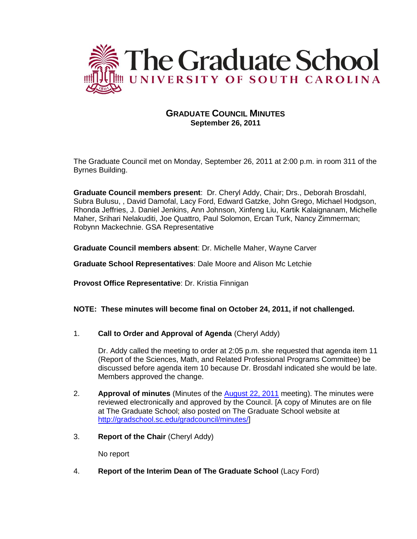

# **GRADUATE COUNCIL MINUTES September 26, 2011**

The Graduate Council met on Monday, September 26, 2011 at 2:00 p.m. in room 311 of the Byrnes Building.

**Graduate Council members present**: Dr. Cheryl Addy, Chair; Drs., Deborah Brosdahl, Subra Bulusu, , David Damofal, Lacy Ford, Edward Gatzke, John Grego, Michael Hodgson, Rhonda Jeffries, J. Daniel Jenkins, Ann Johnson, Xinfeng Liu, Kartik Kalaignanam, Michelle Maher, Srihari Nelakuditi, Joe Quattro, Paul Solomon, Ercan Turk, Nancy Zimmerman; Robynn Mackechnie. GSA Representative

**Graduate Council members absent**: Dr. Michelle Maher, Wayne Carver

**Graduate School Representatives**: Dale Moore and Alison Mc Letchie

**Provost Office Representative**: Dr. Kristia Finnigan

## **NOTE: These minutes will become final on October 24, 2011, if not challenged.**

1. **Call to Order and Approval of Agenda** (Cheryl Addy)

Dr. Addy called the meeting to order at 2:05 p.m. she requested that agenda item 11 (Report of the Sciences, Math, and Related Professional Programs Committee) be discussed before agenda item 10 because Dr. Brosdahl indicated she would be late. Members approved the change.

- 2. **Approval of minutes** (Minutes of the [August 22, 2011](http://gradschool.sc.edu/gradcouncil/minutes/Minutes-08-22-11.pdf) meeting). The minutes were reviewed electronically and approved by the Council. [A copy of Minutes are on file at The Graduate School; also posted on The Graduate School website at [http://gradschool.sc.edu/gradcouncil/minutes/\]](http://gradschool.sc.edu/gradcouncil/minutes/)
- 3. **Report of the Chair** (Cheryl Addy)

No report

4. **Report of the Interim Dean of The Graduate School** (Lacy Ford)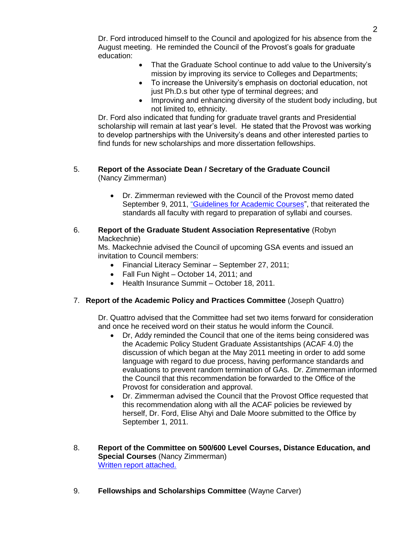Dr. Ford introduced himself to the Council and apologized for his absence from the August meeting. He reminded the Council of the Provost's goals for graduate education:

- That the Graduate School continue to add value to the University's mission by improving its service to Colleges and Departments;
- To increase the University's emphasis on doctorial education, not just Ph.D.s but other type of terminal degrees; and
- Improving and enhancing diversity of the student body including, but not limited to, ethnicity.

Dr. Ford also indicated that funding for graduate travel grants and Presidential scholarship will remain at last year's level. He stated that the Provost was working to develop partnerships with the University's deans and other interested parties to find funds for new scholarships and more dissertation fellowships.

#### 5. **Report of the Associate Dean / Secretary of the Graduate Council**  (Nancy Zimmerman)

 Dr. Zimmerman reviewed with the Council of the Provost memo dated September 9, 2011, ["Guidelines for Academic Courses"](file://COGRDSWEB/gradcouncil/CURR_DOCS/ProvostMemoAcademic_201141.pdf), that reiterated the standards all faculty with regard to preparation of syllabi and courses.

## 6. **Report of the Graduate Student Association Representative** (Robyn Mackechnie)

Ms. Mackechnie advised the Council of upcoming GSA events and issued an invitation to Council members:

- Financial Literacy Seminar September 27, 2011;
- Fall Fun Night October 14, 2011; and
- Health Insurance Summit October 18, 2011.

# 7. **Report of the Academic Policy and Practices Committee** (Joseph Quattro)

Dr. Quattro advised that the Committee had set two items forward for consideration and once he received word on their status he would inform the Council.

- Dr, Addy reminded the Council that one of the items being considered was the Academic Policy Student Graduate Assistantships (ACAF 4.0) the discussion of which began at the May 2011 meeting in order to add some language with regard to due process, having performance standards and evaluations to prevent random termination of GAs. Dr. Zimmerman informed the Council that this recommendation be forwarded to the Office of the Provost for consideration and approval.
- Dr. Zimmerman advised the Council that the Provost Office requested that this recommendation along with all the ACAF policies be reviewed by herself, Dr. Ford, Elise Ahyi and Dale Moore submitted to the Office by September 1, 2011.
- 8. **Report of the Committee on 500/600 Level Courses, Distance Education, and Special Courses** (Nancy Zimmerman) [Written report attached.](file://COGRDSWEB/gradcouncil/CURR_DOCS/500_600_201141.pdf)
- 9. **Fellowships and Scholarships Committee** (Wayne Carver)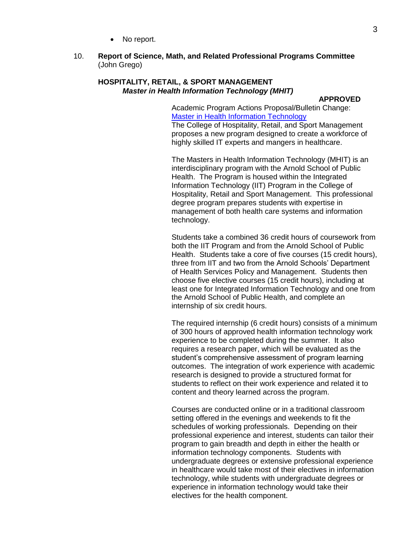• No report.

#### 10. **Report of Science, Math, and Related Professional Programs Committee** (John Grego)

### **HOSPITALITY, RETAIL, & SPORT MANAGEMENT** *Master in Health Information Technology (MHIT)*

#### **APPROVED**

Academic Program Actions Proposal/Bulletin Change: [Master in Health Information Technology](http://gradschool.sc.edu/gradcouncil/curr_docs/APAIntegratedInformationTechnology_201141.pdf) The College of Hospitality, Retail, and Sport Management proposes a new program designed to create a workforce of highly skilled IT experts and mangers in healthcare.

The Masters in Health Information Technology (MHIT) is an interdisciplinary program with the Arnold School of Public Health. The Program is housed within the Integrated Information Technology (IIT) Program in the College of Hospitality, Retail and Sport Management. This professional degree program prepares students with expertise in management of both health care systems and information technology.

Students take a combined 36 credit hours of coursework from both the IIT Program and from the Arnold School of Public Health. Students take a core of five courses (15 credit hours), three from IIT and two from the Arnold Schools' Department of Health Services Policy and Management. Students then choose five elective courses (15 credit hours), including at least one for Integrated Information Technology and one from the Arnold School of Public Health, and complete an internship of six credit hours.

The required internship (6 credit hours) consists of a minimum of 300 hours of approved health information technology work experience to be completed during the summer. It also requires a research paper, which will be evaluated as the student's comprehensive assessment of program learning outcomes. The integration of work experience with academic research is designed to provide a structured format for students to reflect on their work experience and related it to content and theory learned across the program.

Courses are conducted online or in a traditional classroom setting offered in the evenings and weekends to fit the schedules of working professionals. Depending on their professional experience and interest, students can tailor their program to gain breadth and depth in either the health or information technology components. Students with undergraduate degrees or extensive professional experience in healthcare would take most of their electives in information technology, while students with undergraduate degrees or experience in information technology would take their electives for the health component.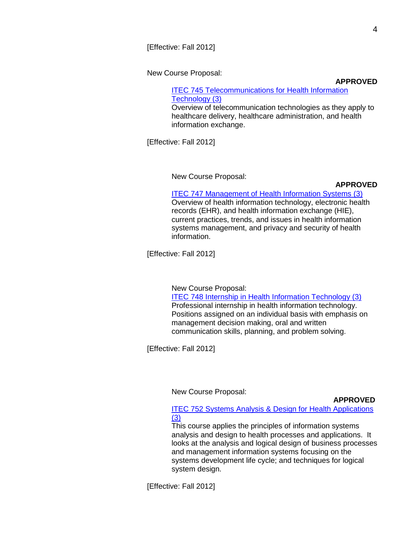New Course Proposal:

**APPROVED**

# [ITEC 745 Telecommunications for Health Information](http://gradschool.sc.edu/gradcouncil/curr_docs/NCPITEC745_201141.pdf)  [Technology \(3\)](http://gradschool.sc.edu/gradcouncil/curr_docs/NCPITEC745_201141.pdf)

Overview of telecommunication technologies as they apply to healthcare delivery, healthcare administration, and health information exchange.

[Effective: Fall 2012]

New Course Proposal:

## **APPROVED**

# [ITEC 747 Management of Health Information Systems](http://gradschool.sc.edu/gradcouncil/curr_docs/NCPITEC747_201141.pdf) (3)

Overview of health information technology, electronic health records (EHR), and health information exchange (HIE), current practices, trends, and issues in health information systems management, and privacy and security of health information.

[Effective: Fall 2012]

## New Course Proposal: ITEC 748 [Internship in Health Information Technology \(3\)](http://gradschool.sc.edu/gradcouncil/curr_docs/NCPITEC748_201141.pdf) Professional internship in health information technology. Positions assigned on an individual basis with emphasis on management decision making, oral and written communication skills, planning, and problem solving.

[Effective: Fall 2012]

New Course Proposal:

## **APPROVED**

## [ITEC 752 Systems Analysis & Design for Health Applications](http://gradschool.sc.edu/gradcouncil/curr_docs/NCPITEC752_201141.pdf)  [\(3\)](http://gradschool.sc.edu/gradcouncil/curr_docs/NCPITEC752_201141.pdf)

This course applies the principles of information systems analysis and design to health processes and applications. It looks at the analysis and logical design of business processes and management information systems focusing on the systems development life cycle; and techniques for logical system design.

[Effective: Fall 2012]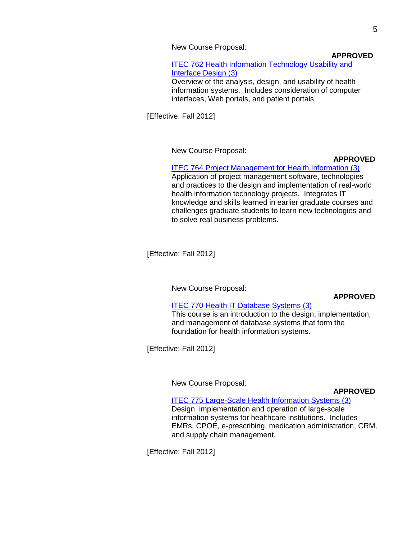New Course Proposal:

#### **APPROVED**

[ITEC 762 Health Information Technology Usability and](http://gradschool.sc.edu/gradcouncil/curr_docs/NCPITEC762_201141.pdf)  [Interface Design \(3\)](http://gradschool.sc.edu/gradcouncil/curr_docs/NCPITEC762_201141.pdf) Overview of the analysis, design, and usability of health information systems. Includes consideration of computer interfaces, Web portals, and patient portals.

[Effective: Fall 2012]

New Course Proposal:

### **APPROVED**

# **[ITEC 764 Project Management for Health Information \(3\)](http://gradschool.sc.edu/gradcouncil/curr_docs/NCPITEC764_201141.pdf)**

Application of project management software, technologies and practices to the design and implementation of real-world health information technology projects. Integrates IT knowledge and skills learned in earlier graduate courses and challenges graduate students to learn new technologies and to solve real business problems.

[Effective: Fall 2012]

New Course Proposal:

#### **APPROVED**

#### [ITEC 770 Health IT Database Systems \(3\)](http://gradschool.sc.edu/gradcouncil/curr_docs/NCPITEC770_201141.pdf)

This course is an introduction to the design, implementation, and management of database systems that form the foundation for health information systems.

[Effective: Fall 2012]

## New Course Proposal:

#### **APPROVED**

#### [ITEC 775 Large-Scale Health Information Systems \(3\)](http://gradschool.sc.edu/gradcouncil/curr_docs/NCPITEC775_201141.pdf)

Design, implementation and operation of large-scale information systems for healthcare institutions. Includes EMRs, CPOE, e-prescribing, medication administration, CRM, and supply chain management.

[Effective: Fall 2012]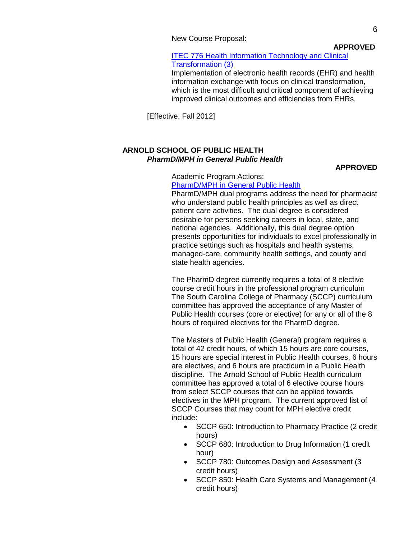New Course Proposal:

**APPROVED**

#### [ITEC 776 Health Information Technology and Clinical](http://gradschool.sc.edu/gradcouncil/curr_docs/NCPITEC776_201141.pdf)  [Transformation \(3\)](http://gradschool.sc.edu/gradcouncil/curr_docs/NCPITEC776_201141.pdf)

Implementation of electronic health records (EHR) and health information exchange with focus on clinical transformation, which is the most difficult and critical component of achieving improved clinical outcomes and efficiencies from EHRs.

[Effective: Fall 2012]

## **ARNOLD SCHOOL OF PUBLIC HEALTH** *PharmD/MPH in General Public Health*

#### **APPROVED**

Academic Program Actions:

## [PharmD/MPH in General Public Health](http://gradschool.sc.edu/gradcouncil/curr_docs/APAPublicHealth_201141.pdf)

PharmD/MPH dual programs address the need for pharmacist who understand public health principles as well as direct patient care activities. The dual degree is considered desirable for persons seeking careers in local, state, and national agencies. Additionally, this dual degree option presents opportunities for individuals to excel professionally in practice settings such as hospitals and health systems, managed-care, community health settings, and county and state health agencies.

The PharmD degree currently requires a total of 8 elective course credit hours in the professional program curriculum The South Carolina College of Pharmacy (SCCP) curriculum committee has approved the acceptance of any Master of Public Health courses (core or elective) for any or all of the 8 hours of required electives for the PharmD degree.

The Masters of Public Health (General) program requires a total of 42 credit hours, of which 15 hours are core courses, 15 hours are special interest in Public Health courses, 6 hours are electives, and 6 hours are practicum in a Public Health discipline. The Arnold School of Public Health curriculum committee has approved a total of 6 elective course hours from select SCCP courses that can be applied towards electives in the MPH program. The current approved list of SCCP Courses that may count for MPH elective credit include:

- SCCP 650: Introduction to Pharmacy Practice (2 credit hours)
- SCCP 680: Introduction to Drug Information (1 credit hour)
- SCCP 780: Outcomes Design and Assessment (3 credit hours)
- SCCP 850: Health Care Systems and Management (4 credit hours)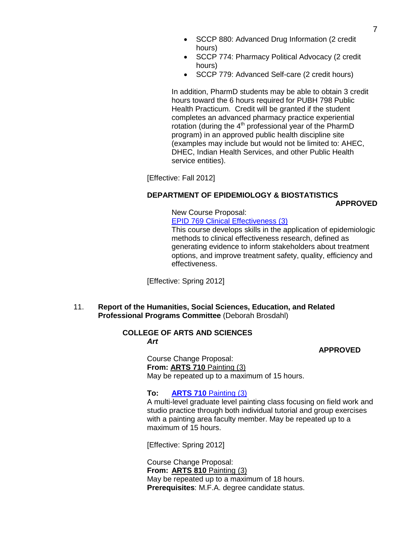- SCCP 880: Advanced Drug Information (2 credit hours)
- SCCP 774: Pharmacy Political Advocacy (2 credit hours)
- SCCP 779: Advanced Self-care (2 credit hours)

In addition, PharmD students may be able to obtain 3 credit hours toward the 6 hours required for PUBH 798 Public Health Practicum. Credit will be granted if the student completes an advanced pharmacy practice experiential rotation (during the 4<sup>th</sup> professional year of the PharmD program) in an approved public health discipline site (examples may include but would not be limited to: AHEC, DHEC, Indian Health Services, and other Public Health service entities).

[Effective: Fall 2012]

## **DEPARTMENT OF EPIDEMIOLOGY & BIOSTATISTICS**

## **APPROVED**

#### New Course Proposal: EPID 769 [Clinical Effectiveness \(3\)](http://gradschool.sc.edu/gradcouncil/curr_docs/NCPEPID769_201141.pdf)

This course develops skills in the application of epidemiologic methods to clinical effectiveness research, defined as generating evidence to inform stakeholders about treatment options, and improve treatment safety, quality, efficiency and effectiveness.

[Effective: Spring 2012]

11. **Report of the Humanities, Social Sciences, Education, and Related Professional Programs Committee** (Deborah Brosdahl)

#### **COLLEGE OF ARTS AND SCIENCES** *Art*

#### **APPROVED**

Course Change Proposal: **From: ARTS 710** Painting (3) May be repeated up to a maximum of 15 hours.

## **To: [ARTS 710](http://gradschool.sc.edu/gradcouncil/curr_docs/CCPARTS710_201141.pdf)** Painting (3)

A multi-level graduate level painting class focusing on field work and studio practice through both individual tutorial and group exercises with a painting area faculty member. May be repeated up to a maximum of 15 hours.

[Effective: Spring 2012]

Course Change Proposal: **From: ARTS 810** Painting (3) May be repeated up to a maximum of 18 hours. **Prerequisites**: M.F.A. degree candidate status.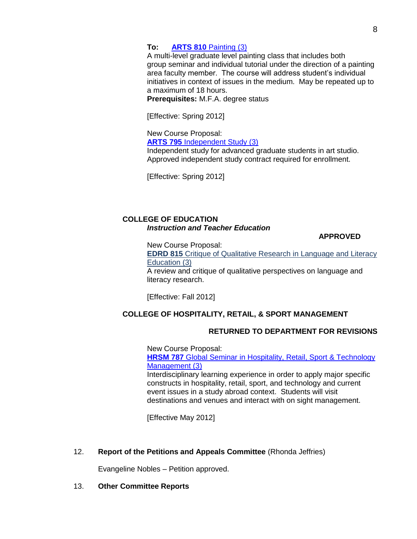## **To: ARTS 810** [Painting \(3\)](http://gradschool.sc.edu/gradcouncil/curr_docs/CCPARTS810_201141.pdf)

A multi-level graduate level painting class that includes both group seminar and individual tutorial under the direction of a painting area faculty member. The course will address student's individual initiatives in context of issues in the medium. May be repeated up to a maximum of 18 hours.

**Prerequisites:** M.F.A. degree status

[Effective: Spring 2012]

New Course Proposal:

**ARTS 795** [Independent Study \(3\)](http://gradschool.sc.edu/gradcouncil/curr_docs/NCPARTS795_201141.pdf)

Independent study for advanced graduate students in art studio. Approved independent study contract required for enrollment.

[Effective: Spring 2012]

## **COLLEGE OF EDUCATION** *Instruction and Teacher Education*

**APPROVED**

New Course Proposal:

**EDRD 815** Critique of Qualitative Research in Language and Literacy Education (3)

A review and critique of qualitative perspectives on language and literacy research.

[Effective: Fall 2012]

# **COLLEGE OF HOSPITALITY, RETAIL, & SPORT MANAGEMENT**

## **RETURNED TO DEPARTMENT FOR REVISIONS**

New Course Proposal: **HRSM 787** Global Seminar in Hospitality, Retail, Sport & Technology [Management \(3\)](http://gradschool.sc.edu/gradcouncil/curr_docs/NCPHRSM787_201141.pdf) Interdisciplinary learning experience in order to apply major specific constructs in hospitality, retail, sport, and technology and current event issues in a study abroad context. Students will visit destinations and venues and interact with on sight management.

[Effective May 2012]

12. **Report of the Petitions and Appeals Committee** (Rhonda Jeffries)

Evangeline Nobles – Petition approved.

13. **Other Committee Reports**